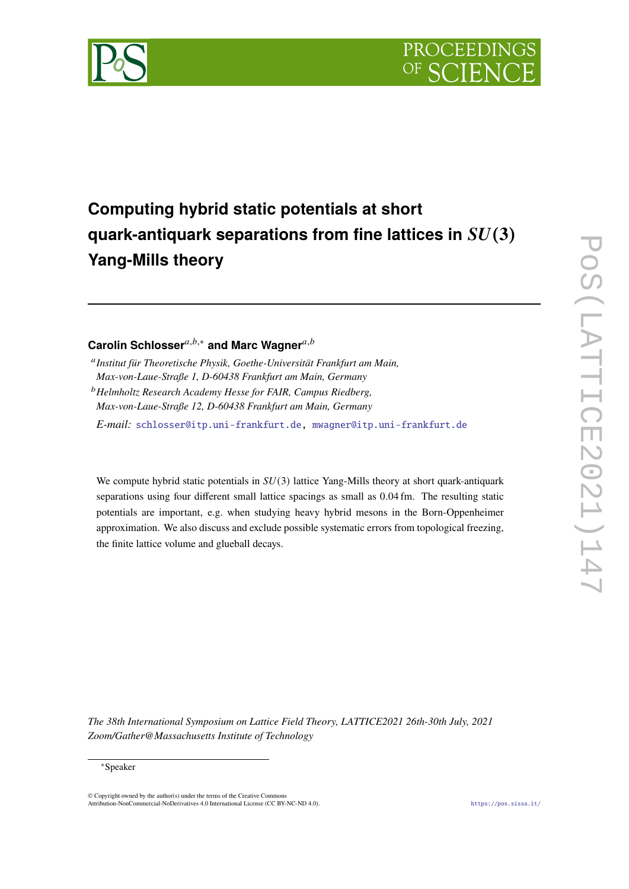



# **Computing hybrid static potentials at short guark-antiquark separations from fine lattices in**  $SU(3)$ **Yang-Mills theory**

# Carolin Schlosser<sup>a,b,∗</sup> and Marc Wagner<sup>a,b</sup>

*E-mail:* [schlosser@itp.uni-frankfurt.de,](mailto:schlosser@itp.uni-frankfurt.de) [mwagner@itp.uni-frankfurt.de](mailto:mwagner@itp.uni-frankfurt.de)

We compute hybrid static potentials in  $SU(3)$  lattice Yang-Mills theory at short quark-antiquark separations using four different small lattice spacings as small as 0.04 fm. The resulting static potentials are important, e.g. when studying heavy hybrid mesons in the Born-Oppenheimer approximation. We also discuss and exclude possible systematic errors from topological freezing, the finite lattice volume and glueball decays.

*The 38th International Symposium on Lattice Field Theory, LATTICE2021 26th-30th July, 2021 Zoom/Gather@Massachusetts Institute of Technology*

# ∗Speaker

 $\odot$  Copyright owned by the author(s) under the terms of the Creative Common Attribution-NonCommercial-NoDerivatives 4.0 International License (CC BY-NC-ND 4.0). <https://pos.sissa.it/>

<sup>&</sup>lt;sup>a</sup> Institut für Theoretische Physik, Goethe-Universität Frankfurt am Main, *Max-von-Laue-Straße 1, D-60438 Frankfurt am Main, Germany*

<sup>𝑏</sup>*Helmholtz Research Academy Hesse for FAIR, Campus Riedberg, Max-von-Laue-Straße 12, D-60438 Frankfurt am Main, Germany*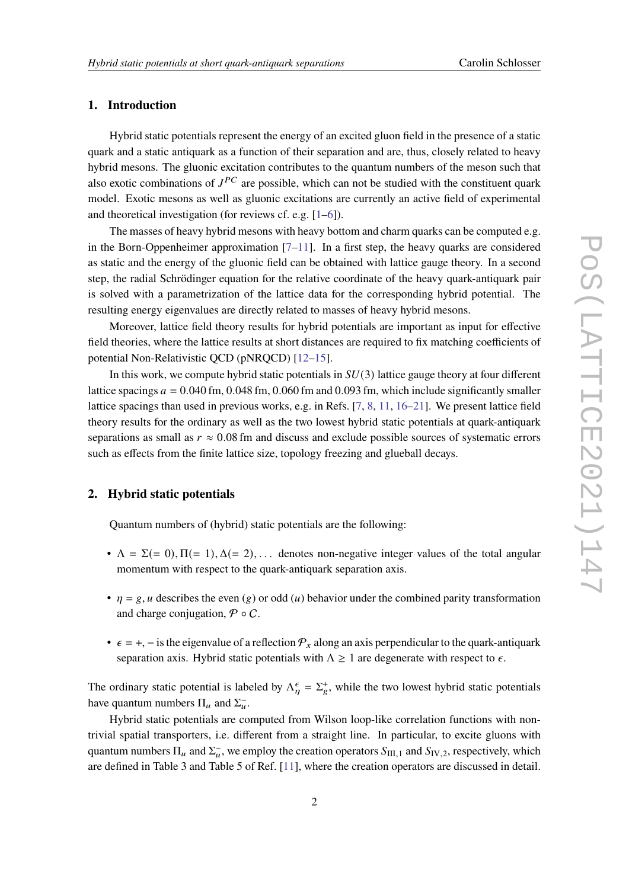# **1. Introduction**

Hybrid static potentials represent the energy of an excited gluon field in the presence of a static quark and a static antiquark as a function of their separation and are, thus, closely related to heavy hybrid mesons. The gluonic excitation contributes to the quantum numbers of the meson such that also exotic combinations of  $J^{PC}$  are possible, which can not be studied with the constituent quark model. Exotic mesons as well as gluonic excitations are currently an active field of experimental and theoretical investigation (for reviews cf. e.g. [\[1–](#page-5-0)[6\]](#page-5-1)).

The masses of heavy hybrid mesons with heavy bottom and charm quarks can be computed e.g. in the Born-Oppenheimer approximation  $[7-11]$  $[7-11]$ . In a first step, the heavy quarks are considered as static and the energy of the gluonic field can be obtained with lattice gauge theory. In a second step, the radial Schrödinger equation for the relative coordinate of the heavy quark-antiquark pair is solved with a parametrization of the lattice data for the corresponding hybrid potential. The resulting energy eigenvalues are directly related to masses of heavy hybrid mesons.

Moreover, lattice field theory results for hybrid potentials are important as input for effective field theories, where the lattice results at short distances are required to fix matching coefficients of potential Non-Relativistic QCD (pNRQCD) [\[12](#page-6-0)[–15\]](#page-6-1).

In this work, we compute hybrid static potentials in  $SU(3)$  lattice gauge theory at four different lattice spacings  $a = 0.040$  fm,  $0.048$  fm,  $0.060$  fm and  $0.093$  fm, which include significantly smaller lattice spacings than used in previous works, e.g. in Refs. [\[7,](#page-5-2) [8,](#page-5-4) [11,](#page-5-3) [16–](#page-6-2)[21\]](#page-6-3). We present lattice field theory results for the ordinary as well as the two lowest hybrid static potentials at quark-antiquark separations as small as  $r \approx 0.08$  fm and discuss and exclude possible sources of systematic errors such as effects from the finite lattice size, topology freezing and glueball decays.

# **2. Hybrid static potentials**

Quantum numbers of (hybrid) static potentials are the following:

- $\Lambda = \Sigma (= 0), \Pi (= 1), \Delta (= 2), \dots$  denotes non-negative integer values of the total angular momentum with respect to the quark-antiquark separation axis.
- $\eta = g, u$  describes the even (g) or odd (u) behavior under the combined parity transformation and charge conjugation,  $\mathcal{P} \circ \mathcal{C}$ .
- $\epsilon = +$ , is the eigenvalue of a reflection  $\mathcal{P}_x$  along an axis perpendicular to the quark-antiquark separation axis. Hybrid static potentials with  $\Lambda \geq 1$  are degenerate with respect to  $\epsilon$ .

The ordinary static potential is labeled by  $\Lambda_n^{\epsilon} = \Sigma_{\epsilon}^{+}$ , while the two lowest hybrid static potentials have quantum numbers  $\Pi_u$  and  $\Sigma_u^-$ .

Hybrid static potentials are computed from Wilson loop-like correlation functions with nontrivial spatial transporters, i.e. different from a straight line. In particular, to excite gluons with quantum numbers  $\Pi_u$  and  $\Sigma_u^-$ , we employ the creation operators  $S_{\text{III,1}}$  and  $S_{\text{IV,2}}$ , respectively, which are defined in Table 3 and Table 5 of Ref. [\[11\]](#page-5-3), where the creation operators are discussed in detail.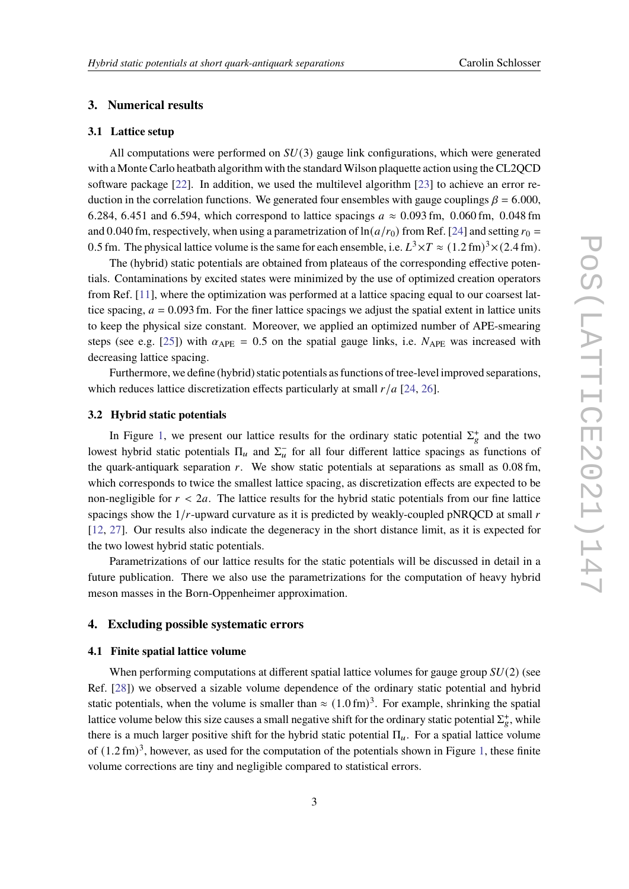# **3. Numerical results**

# **3.1 Lattice setup**

All computations were performed on  $SU(3)$  gauge link configurations, which were generated with a Monte Carlo heatbath algorithm with the standard Wilson plaquette action using the CL2QCD software package [\[22\]](#page-6-4). In addition, we used the multilevel algorithm [\[23\]](#page-6-5) to achieve an error reduction in the correlation functions. We generated four ensembles with gauge couplings  $\beta = 6.000$ , 6.284, 6.451 and 6.594, which correspond to lattice spacings  $a \approx 0.093$  fm, 0.060 fm, 0.048 fm and 0.040 fm, respectively, when using a parametrization of  $\ln(a/r_0)$  from Ref. [\[24\]](#page-6-6) and setting  $r_0 =$ 0.5 fm. The physical lattice volume is the same for each ensemble, i.e.  $L^3 \times T \approx (1.2 \text{ fm})^3 \times (2.4 \text{ fm})$ .

The (hybrid) static potentials are obtained from plateaus of the corresponding effective potentials. Contaminations by excited states were minimized by the use of optimized creation operators from Ref. [\[11\]](#page-5-3), where the optimization was performed at a lattice spacing equal to our coarsest lattice spacing,  $a = 0.093$  fm. For the finer lattice spacings we adjust the spatial extent in lattice units to keep the physical size constant. Moreover, we applied an optimized number of APE-smearing steps (see e.g. [\[25\]](#page-6-7)) with  $\alpha_{\text{APE}} = 0.5$  on the spatial gauge links, i.e.  $N_{\text{APE}}$  was increased with decreasing lattice spacing.

Furthermore, we define (hybrid) static potentials as functions of tree-level improved separations, which reduces lattice discretization effects particularly at small  $r/a$  [\[24,](#page-6-6) [26\]](#page-6-8).

# **3.2 Hybrid static potentials**

In Figure [1,](#page-3-0) we present our lattice results for the ordinary static potential  $\Sigma_g^+$  and the two lowest hybrid static potentials  $\Pi_u$  and  $\Sigma_u^-$  for all four different lattice spacings as functions of the quark-antiquark separation  $r$ . We show static potentials at separations as small as  $0.08$  fm, which corresponds to twice the smallest lattice spacing, as discretization effects are expected to be non-negligible for  $r < 2a$ . The lattice results for the hybrid static potentials from our fine lattice spacings show the  $1/r$ -upward curvature as it is predicted by weakly-coupled pNRQCD at small  $r$ [\[12,](#page-6-0) [27\]](#page-6-9). Our results also indicate the degeneracy in the short distance limit, as it is expected for the two lowest hybrid static potentials.

Parametrizations of our lattice results for the static potentials will be discussed in detail in a future publication. There we also use the parametrizations for the computation of heavy hybrid meson masses in the Born-Oppenheimer approximation.

#### **4. Excluding possible systematic errors**

# <span id="page-2-0"></span>**4.1 Finite spatial lattice volume**

When performing computations at different spatial lattice volumes for gauge group  $SU(2)$  (see Ref. [\[28\]](#page-7-0)) we observed a sizable volume dependence of the ordinary static potential and hybrid static potentials, when the volume is smaller than  $\approx (1.0 \text{ fm})^3$ . For example, shrinking the spatial lattice volume below this size causes a small negative shift for the ordinary static potential  $\Sigma_g^+$ , while there is a much larger positive shift for the hybrid static potential  $\Pi_u$ . For a spatial lattice volume of  $(1.2 \text{ fm})^3$ , however, as used for the computation of the potentials shown in Figure [1,](#page-3-0) these finite volume corrections are tiny and negligible compared to statistical errors.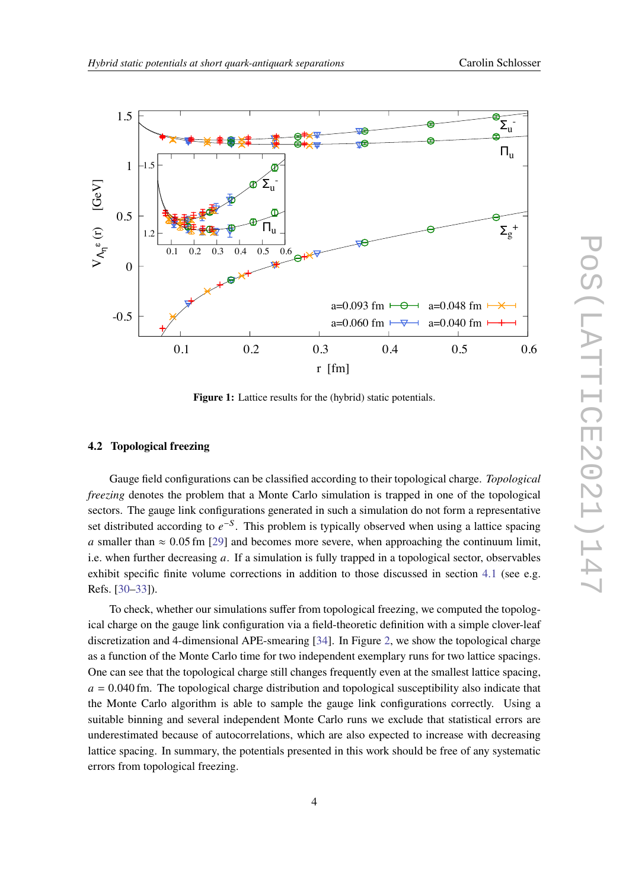<span id="page-3-0"></span>

**Figure 1:** Lattice results for the (hybrid) static potentials.

#### **4.2 Topological freezing**

Gauge field configurations can be classified according to their topological charge. *Topological freezing* denotes the problem that a Monte Carlo simulation is trapped in one of the topological sectors. The gauge link configurations generated in such a simulation do not form a representative set distributed according to  $e^{-S}$ . This problem is typically observed when using a lattice spacing a smaller than  $\approx 0.05$  fm [\[29\]](#page-7-1) and becomes more severe, when approaching the continuum limit, i.e. when further decreasing  $a$ . If a simulation is fully trapped in a topological sector, observables exhibit specific finite volume corrections in addition to those discussed in section [4.1](#page-2-0) (see e.g. Refs. [\[30](#page-7-2)[–33\]](#page-7-3)).

To check, whether our simulations suffer from topological freezing, we computed the topological charge on the gauge link configuration via a field-theoretic definition with a simple clover-leaf discretization and 4-dimensional APE-smearing [\[34\]](#page-7-4). In Figure [2,](#page-4-0) we show the topological charge as a function of the Monte Carlo time for two independent exemplary runs for two lattice spacings. One can see that the topological charge still changes frequently even at the smallest lattice spacing,  $a = 0.040$  fm. The topological charge distribution and topological susceptibility also indicate that the Monte Carlo algorithm is able to sample the gauge link configurations correctly. Using a suitable binning and several independent Monte Carlo runs we exclude that statistical errors are underestimated because of autocorrelations, which are also expected to increase with decreasing lattice spacing. In summary, the potentials presented in this work should be free of any systematic errors from topological freezing.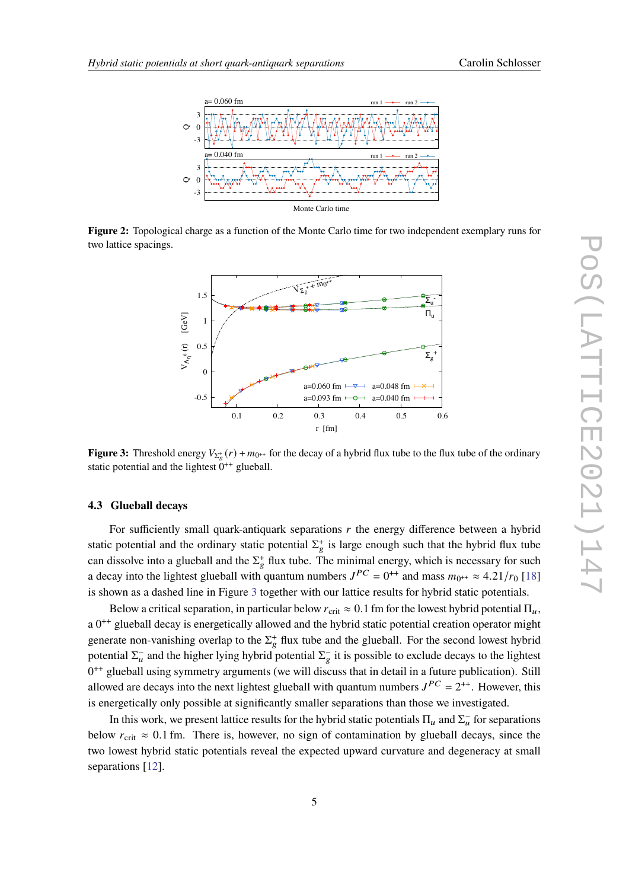<span id="page-4-0"></span>

<span id="page-4-1"></span>**Figure 2:** Topological charge as a function of the Monte Carlo time for two independent exemplary runs for two lattice spacings.



**Figure 3:** Threshold energy  $V_{\Sigma_{\epsilon}^+}(r) + m_{0^{++}}$  for the decay of a hybrid flux tube to the flux tube of the ordinary static potential and the lightest  $0^{++}$  glueball.

#### **4.3 Glueball decays**

For sufficiently small quark-antiquark separations  $r$  the energy difference between a hybrid static potential and the ordinary static potential  $\Sigma_{g}^{+}$  is large enough such that the hybrid flux tube can dissolve into a glueball and the  $\Sigma_g^+$  flux tube. The minimal energy, which is necessary for such a decay into the lightest glueball with quantum numbers  $J^{PC} = 0^{++}$  and mass  $m_{0^{++}} \approx 4.21/r_0$  [\[18\]](#page-6-10) is shown as a dashed line in Figure [3](#page-4-1) together with our lattice results for hybrid static potentials.

Below a critical separation, in particular below  $r_{\text{crit}} \approx 0.1$  fm for the lowest hybrid potential  $\Pi_u$ , a 0<sup>++</sup> glueball decay is energetically allowed and the hybrid static potential creation operator might generate non-vanishing overlap to the  $\Sigma_g^+$  flux tube and the glueball. For the second lowest hybrid potential  $\Sigma_u^-$  and the higher lying hybrid potential  $\Sigma_g^-$  it is possible to exclude decays to the lightest  $0^{++}$  glueball using symmetry arguments (we will discuss that in detail in a future publication). Still allowed are decays into the next lightest glueball with quantum numbers  $J^{PC} = 2^{++}$ . However, this is energetically only possible at significantly smaller separations than those we investigated.

In this work, we present lattice results for the hybrid static potentials  $\Pi_u$  and  $\Sigma_u^-$  for separations below  $r_{\text{crit}} \approx 0.1$  fm. There is, however, no sign of contamination by glueball decays, since the two lowest hybrid static potentials reveal the expected upward curvature and degeneracy at small separations [\[12\]](#page-6-0).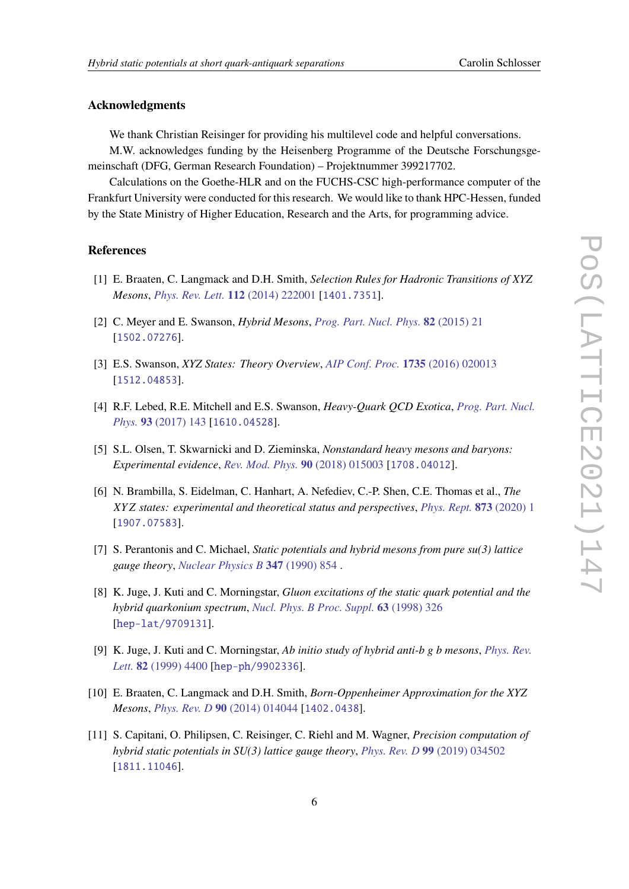# **Acknowledgments**

We thank Christian Reisinger for providing his multilevel code and helpful conversations.

M.W. acknowledges funding by the Heisenberg Programme of the Deutsche Forschungsgemeinschaft (DFG, German Research Foundation) – Projektnummer 399217702.

Calculations on the Goethe-HLR and on the FUCHS-CSC high-performance computer of the Frankfurt University were conducted for this research. We would like to thank HPC-Hessen, funded by the State Ministry of Higher Education, Research and the Arts, for programming advice.

# **References**

- <span id="page-5-0"></span>[1] E. Braaten, C. Langmack and D.H. Smith, *Selection Rules for Hadronic Transitions of XYZ Mesons*, *[Phys. Rev. Lett.](https://doi.org/10.1103/PhysRevLett.112.222001)* **112** (2014) 222001 [[1401.7351](https://arxiv.org/abs/1401.7351)].
- [2] C. Meyer and E. Swanson, *Hybrid Mesons*, *[Prog. Part. Nucl. Phys.](https://doi.org/10.1016/j.ppnp.2015.03.001)* **82** (2015) 21 [[1502.07276](https://arxiv.org/abs/1502.07276)].
- [3] E.S. Swanson, *XYZ States: Theory Overview*, *[AIP Conf. Proc.](https://doi.org/10.1063/1.4949381)* **1735** (2016) 020013 [[1512.04853](https://arxiv.org/abs/1512.04853)].
- [4] R.F. Lebed, R.E. Mitchell and E.S. Swanson, *Heavy-Quark QCD Exotica*, *[Prog. Part. Nucl.](https://doi.org/10.1016/j.ppnp.2016.11.003) Phys.* **93** [\(2017\) 143](https://doi.org/10.1016/j.ppnp.2016.11.003) [[1610.04528](https://arxiv.org/abs/1610.04528)].
- [5] S.L. Olsen, T. Skwarnicki and D. Zieminska, *Nonstandard heavy mesons and baryons: Experimental evidence*, *[Rev. Mod. Phys.](https://doi.org/10.1103/RevModPhys.90.015003)* **90** (2018) 015003 [[1708.04012](https://arxiv.org/abs/1708.04012)].
- <span id="page-5-1"></span>[6] N. Brambilla, S. Eidelman, C. Hanhart, A. Nefediev, C.-P. Shen, C.E. Thomas et al., *The* 𝑋𝑌 𝑍 *states: experimental and theoretical status and perspectives*, *[Phys. Rept.](https://doi.org/10.1016/j.physrep.2020.05.001)* **873** (2020) 1 [[1907.07583](https://arxiv.org/abs/1907.07583)].
- <span id="page-5-2"></span>[7] S. Perantonis and C. Michael, *Static potentials and hybrid mesons from pure su(3) lattice gauge theory*, *[Nuclear Physics B](https://doi.org/https://doi.org/10.1016/0550-3213(90)90386-R)* **347** (1990) 854 .
- <span id="page-5-4"></span>[8] K. Juge, J. Kuti and C. Morningstar, *Gluon excitations of the static quark potential and the hybrid quarkonium spectrum*, *[Nucl. Phys. B Proc. Suppl.](https://doi.org/10.1016/S0920-5632(97)00759-7)* **63** (1998) 326 [[hep-lat/9709131](https://arxiv.org/abs/hep-lat/9709131)].
- [9] K. Juge, J. Kuti and C. Morningstar, *Ab initio study of hybrid anti-b g b mesons*, *[Phys. Rev.](https://doi.org/10.1103/PhysRevLett.82.4400) Lett.* **82** [\(1999\) 4400](https://doi.org/10.1103/PhysRevLett.82.4400) [[hep-ph/9902336](https://arxiv.org/abs/hep-ph/9902336)].
- [10] E. Braaten, C. Langmack and D.H. Smith, *Born-Oppenheimer Approximation for the XYZ Mesons*, *[Phys. Rev. D](https://doi.org/10.1103/PhysRevD.90.014044)* **90** (2014) 014044 [[1402.0438](https://arxiv.org/abs/1402.0438)].
- <span id="page-5-3"></span>[11] S. Capitani, O. Philipsen, C. Reisinger, C. Riehl and M. Wagner, *Precision computation of hybrid static potentials in SU(3) lattice gauge theory*, *[Phys. Rev. D](https://doi.org/10.1103/PhysRevD.99.034502)* **99** (2019) 034502 [[1811.11046](https://arxiv.org/abs/1811.11046)].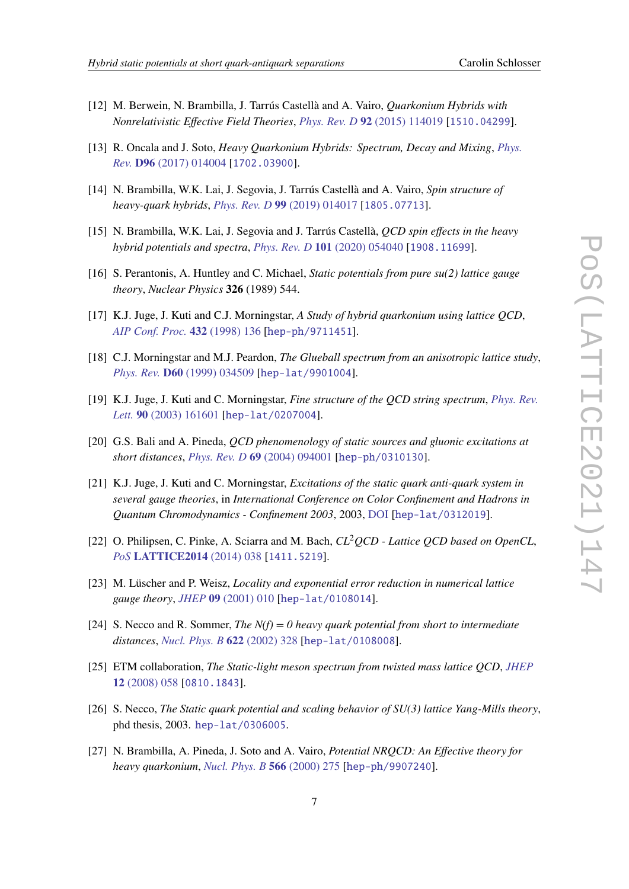- 
- <span id="page-6-0"></span>[12] M. Berwein, N. Brambilla, J. Tarrús Castellà and A. Vairo, *Quarkonium Hybrids with Nonrelativistic Effective Field Theories*, *[Phys. Rev. D](https://doi.org/10.1103/PhysRevD.92.114019)* **92** (2015) 114019 [[1510.04299](https://arxiv.org/abs/1510.04299)].
- [13] R. Oncala and J. Soto, *Heavy Quarkonium Hybrids: Spectrum, Decay and Mixing*, *[Phys.](https://doi.org/10.1103/PhysRevD.96.014004) Rev.* **D96** [\(2017\) 014004](https://doi.org/10.1103/PhysRevD.96.014004) [[1702.03900](https://arxiv.org/abs/1702.03900)].
- [14] N. Brambilla, W.K. Lai, J. Segovia, J. Tarrús Castellà and A. Vairo, *Spin structure of heavy-quark hybrids*, *[Phys. Rev. D](https://doi.org/10.1103/PhysRevD.99.014017)* **99** (2019) 014017 [[1805.07713](https://arxiv.org/abs/1805.07713)].
- <span id="page-6-1"></span>[15] N. Brambilla, W.K. Lai, J. Segovia and J. Tarrús Castellà, *QCD spin effects in the heavy hybrid potentials and spectra*, *[Phys. Rev. D](https://doi.org/10.1103/PhysRevD.101.054040)* **101** (2020) 054040 [[1908.11699](https://arxiv.org/abs/1908.11699)].
- <span id="page-6-2"></span>[16] S. Perantonis, A. Huntley and C. Michael, *Static potentials from pure su(2) lattice gauge theory*, *Nuclear Physics* **326** (1989) 544.
- [17] K.J. Juge, J. Kuti and C.J. Morningstar, *A Study of hybrid quarkonium using lattice QCD*, *[AIP Conf. Proc.](https://doi.org/10.1063/1.56000)* **432** (1998) 136 [[hep-ph/9711451](https://arxiv.org/abs/hep-ph/9711451)].
- <span id="page-6-10"></span>[18] C.J. Morningstar and M.J. Peardon, *The Glueball spectrum from an anisotropic lattice study*, *Phys. Rev.* **D60** [\(1999\) 034509](https://doi.org/10.1103/PhysRevD.60.034509) [[hep-lat/9901004](https://arxiv.org/abs/hep-lat/9901004)].
- [19] K.J. Juge, J. Kuti and C. Morningstar, *Fine structure of the QCD string spectrum*, *[Phys. Rev.](https://doi.org/10.1103/PhysRevLett.90.161601) Lett.* **90** [\(2003\) 161601](https://doi.org/10.1103/PhysRevLett.90.161601) [[hep-lat/0207004](https://arxiv.org/abs/hep-lat/0207004)].
- [20] G.S. Bali and A. Pineda, *QCD phenomenology of static sources and gluonic excitations at short distances*, *[Phys. Rev. D](https://doi.org/10.1103/PhysRevD.69.094001)* **69** (2004) 094001 [[hep-ph/0310130](https://arxiv.org/abs/hep-ph/0310130)].
- <span id="page-6-3"></span>[21] K.J. Juge, J. Kuti and C. Morningstar, *Excitations of the static quark anti-quark system in several gauge theories*, in *International Conference on Color Confinement and Hadrons in Quantum Chromodynamics - Confinement 2003*, 2003, [DOI](https://doi.org/10.1142/9789812702845_0017) [[hep-lat/0312019](https://arxiv.org/abs/hep-lat/0312019)].
- <span id="page-6-4"></span>[22] O. Philipsen, C. Pinke, A. Sciarra and M. Bach, *CL*2*QCD - Lattice QCD based on OpenCL*, *PoS* **[LATTICE2014](https://doi.org/10.22323/1.214.0038)** (2014) 038 [[1411.5219](https://arxiv.org/abs/1411.5219)].
- <span id="page-6-5"></span>[23] M. Lüscher and P. Weisz, *Locality and exponential error reduction in numerical lattice gauge theory*, *JHEP* **09** [\(2001\) 010](https://doi.org/10.1088/1126-6708/2001/09/010) [[hep-lat/0108014](https://arxiv.org/abs/hep-lat/0108014)].
- <span id="page-6-6"></span>[24] S. Necco and R. Sommer, *The N(f) = 0 heavy quark potential from short to intermediate distances*, *[Nucl. Phys. B](https://doi.org/10.1016/S0550-3213(01)00582-X)* **622** (2002) 328 [[hep-lat/0108008](https://arxiv.org/abs/hep-lat/0108008)].
- <span id="page-6-7"></span>[25] ETM collaboration, *The Static-light meson spectrum from twisted mass lattice QCD*, *[JHEP](https://doi.org/10.1088/1126-6708/2008/12/058)* **12** [\(2008\) 058](https://doi.org/10.1088/1126-6708/2008/12/058) [[0810.1843](https://arxiv.org/abs/0810.1843)].
- <span id="page-6-8"></span>[26] S. Necco, *The Static quark potential and scaling behavior of SU(3) lattice Yang-Mills theory*, phd thesis, 2003. [hep-lat/0306005](https://arxiv.org/abs/hep-lat/0306005).
- <span id="page-6-9"></span>[27] N. Brambilla, A. Pineda, J. Soto and A. Vairo, *Potential NRQCD: An Effective theory for heavy quarkonium*, *[Nucl. Phys. B](https://doi.org/10.1016/S0550-3213(99)00693-8)* **566** (2000) 275 [[hep-ph/9907240](https://arxiv.org/abs/hep-ph/9907240)].